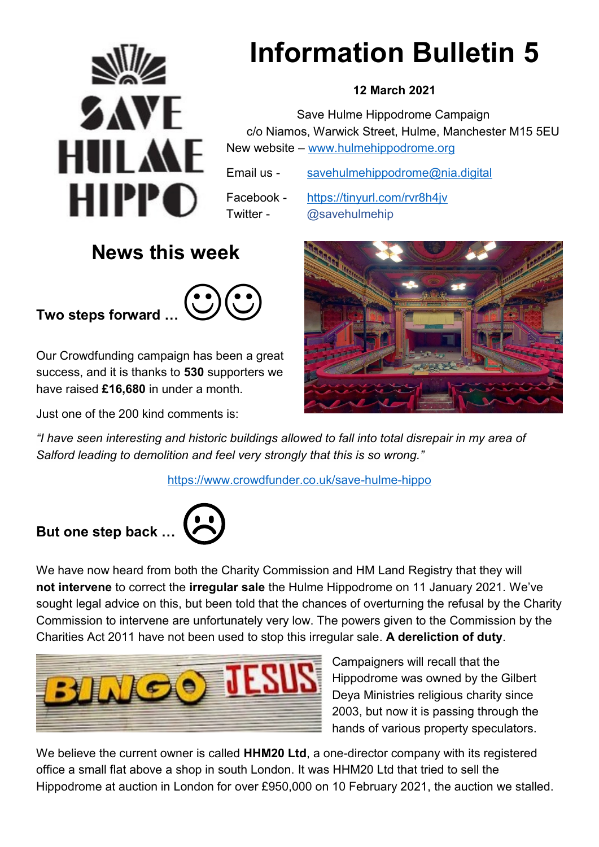

# **Information Bulletin 5**

## **12 March 2021**

 Save Hulme Hippodrome Campaign c/o Niamos, Warwick Street, Hulme, Manchester M15 5EU New website – [www.hulmehippodrome.org](http://www.hulmehippodrome.org/)

Email us - [savehulmehippodrome@nia.digital](mailto:savehulmehippodrome@nia.digital)

Facebook - <https://tinyurl.com/rvr8h4jv> Twitter - @savehulmehip

## **News this week**

**Two steps forward …**



Our Crowdfunding campaign has been a great success, and it is thanks to **530** supporters we have raised **£16,680** in under a month.

Just one of the 200 kind comments is:



*"I have seen interesting and historic buildings allowed to fall into total disrepair in my area of Salford leading to demolition and feel very strongly that this is so wrong."*

https://www.crowdfunder.co.uk/save-hulme-hippo

## But one step back ...



We have now heard from both the Charity Commission and HM Land Registry that they will **not intervene** to correct the **irregular sale** the Hulme Hippodrome on 11 January 2021. We've sought legal advice on this, but been told that the chances of overturning the refusal by the Charity Commission to intervene are unfortunately very low. The powers given to the Commission by the Charities Act 2011 have not been used to stop this irregular sale. **A dereliction of duty**.



Campaigners will recall that the Hippodrome was owned by the Gilbert Deya Ministries religious charity since 2003, but now it is passing through the hands of various property speculators.

We believe the current owner is called **HHM20 Ltd**, a one-director company with its registered office a small flat above a shop in south London. It was HHM20 Ltd that tried to sell the Hippodrome at auction in London for over £950,000 on 10 February 2021, the auction we stalled.